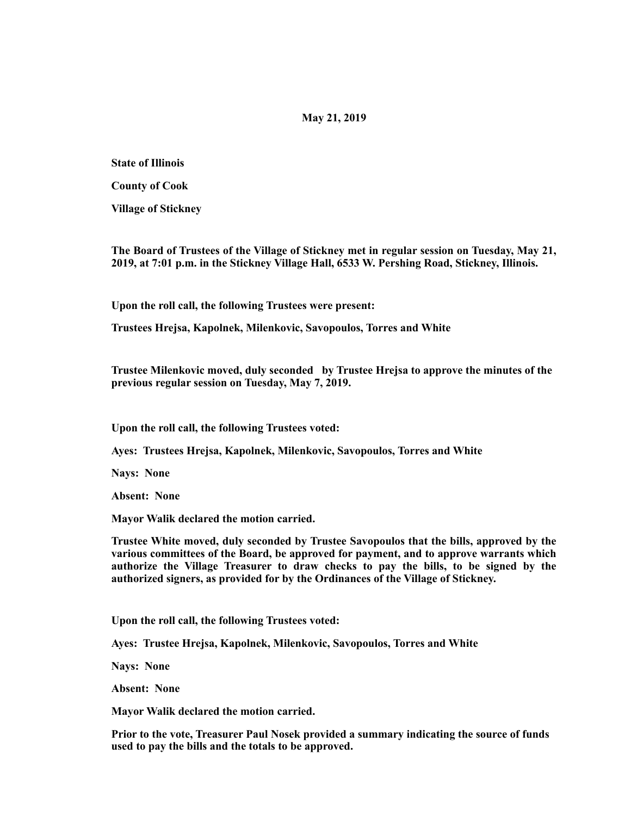## **May 21, 2019**

**State of Illinois** 

**County of Cook** 

**Village of Stickney** 

**The Board of Trustees of the Village of Stickney met in regular session on Tuesday, May 21, 2019, at 7:01 p.m. in the Stickney Village Hall, 6533 W. Pershing Road, Stickney, Illinois.** 

**Upon the roll call, the following Trustees were present:** 

**Trustees Hrejsa, Kapolnek, Milenkovic, Savopoulos, Torres and White** 

**Trustee Milenkovic moved, duly seconded by Trustee Hrejsa to approve the minutes of the previous regular session on Tuesday, May 7, 2019.** 

**Upon the roll call, the following Trustees voted:** 

**Ayes: Trustees Hrejsa, Kapolnek, Milenkovic, Savopoulos, Torres and White** 

**Nays: None** 

**Absent: None** 

**Mayor Walik declared the motion carried.** 

**Trustee White moved, duly seconded by Trustee Savopoulos that the bills, approved by the various committees of the Board, be approved for payment, and to approve warrants which authorize the Village Treasurer to draw checks to pay the bills, to be signed by the authorized signers, as provided for by the Ordinances of the Village of Stickney.** 

**Upon the roll call, the following Trustees voted:** 

**Ayes: Trustee Hrejsa, Kapolnek, Milenkovic, Savopoulos, Torres and White** 

**Nays: None** 

**Absent: None** 

**Mayor Walik declared the motion carried.** 

**Prior to the vote, Treasurer Paul Nosek provided a summary indicating the source of funds used to pay the bills and the totals to be approved.**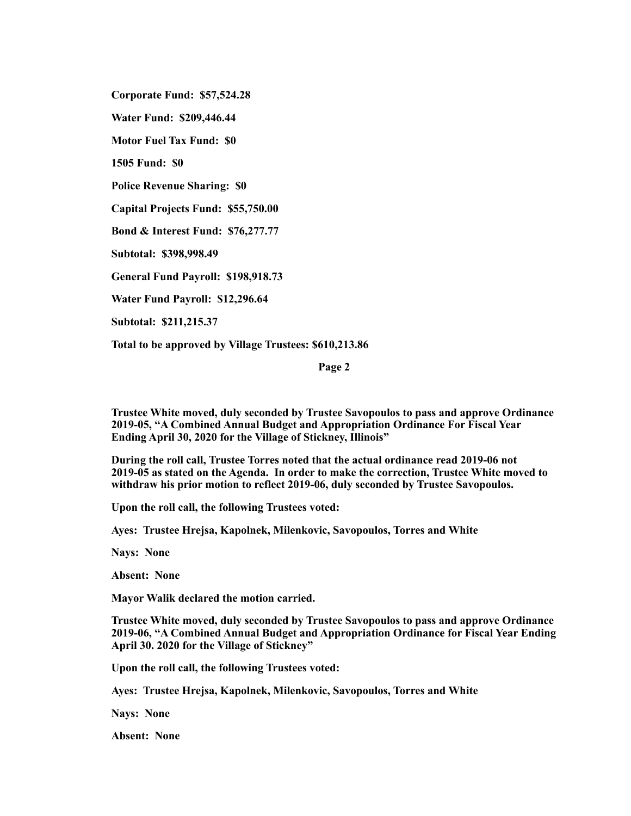**Corporate Fund: \$57,524.28** 

**Water Fund: \$209,446.44** 

**Motor Fuel Tax Fund: \$0** 

**1505 Fund: \$0** 

**Police Revenue Sharing: \$0** 

**Capital Projects Fund: \$55,750.00** 

**Bond & Interest Fund: \$76,277.77** 

**Subtotal: \$398,998.49** 

**General Fund Payroll: \$198,918.73** 

**Water Fund Payroll: \$12,296.64** 

**Subtotal: \$211,215.37** 

**Total to be approved by Village Trustees: \$610,213.86** 

**Page 2** 

**Trustee White moved, duly seconded by Trustee Savopoulos to pass and approve Ordinance 2019-05, "A Combined Annual Budget and Appropriation Ordinance For Fiscal Year Ending April 30, 2020 for the Village of Stickney, Illinois"** 

**During the roll call, Trustee Torres noted that the actual ordinance read 2019-06 not 2019-05 as stated on the Agenda. In order to make the correction, Trustee White moved to withdraw his prior motion to reflect 2019-06, duly seconded by Trustee Savopoulos.** 

**Upon the roll call, the following Trustees voted:** 

**Ayes: Trustee Hrejsa, Kapolnek, Milenkovic, Savopoulos, Torres and White** 

**Nays: None** 

**Absent: None** 

**Mayor Walik declared the motion carried.** 

**Trustee White moved, duly seconded by Trustee Savopoulos to pass and approve Ordinance 2019-06, "A Combined Annual Budget and Appropriation Ordinance for Fiscal Year Ending April 30. 2020 for the Village of Stickney"** 

**Upon the roll call, the following Trustees voted:** 

**Ayes: Trustee Hrejsa, Kapolnek, Milenkovic, Savopoulos, Torres and White** 

**Nays: None** 

**Absent: None**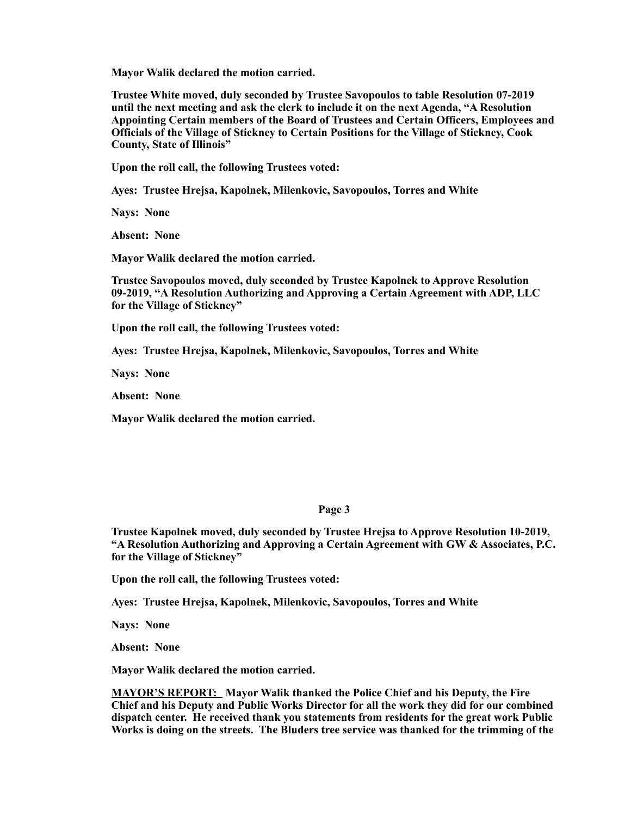**Mayor Walik declared the motion carried.** 

**Trustee White moved, duly seconded by Trustee Savopoulos to table Resolution 07-2019 until the next meeting and ask the clerk to include it on the next Agenda, "A Resolution Appointing Certain members of the Board of Trustees and Certain Officers, Employees and Officials of the Village of Stickney to Certain Positions for the Village of Stickney, Cook County, State of Illinois"** 

**Upon the roll call, the following Trustees voted:** 

**Ayes: Trustee Hrejsa, Kapolnek, Milenkovic, Savopoulos, Torres and White** 

**Nays: None** 

**Absent: None** 

**Mayor Walik declared the motion carried.** 

**Trustee Savopoulos moved, duly seconded by Trustee Kapolnek to Approve Resolution 09-2019, "A Resolution Authorizing and Approving a Certain Agreement with ADP, LLC for the Village of Stickney"** 

**Upon the roll call, the following Trustees voted:** 

**Ayes: Trustee Hrejsa, Kapolnek, Milenkovic, Savopoulos, Torres and White** 

**Nays: None** 

**Absent: None** 

**Mayor Walik declared the motion carried.** 

## **Page 3**

**Trustee Kapolnek moved, duly seconded by Trustee Hrejsa to Approve Resolution 10-2019, "A Resolution Authorizing and Approving a Certain Agreement with GW & Associates, P.C. for the Village of Stickney"** 

**Upon the roll call, the following Trustees voted:** 

**Ayes: Trustee Hrejsa, Kapolnek, Milenkovic, Savopoulos, Torres and White** 

**Nays: None** 

**Absent: None** 

**Mayor Walik declared the motion carried.** 

**MAYOR'S REPORT: Mayor Walik thanked the Police Chief and his Deputy, the Fire Chief and his Deputy and Public Works Director for all the work they did for our combined dispatch center. He received thank you statements from residents for the great work Public Works is doing on the streets. The Bluders tree service was thanked for the trimming of the**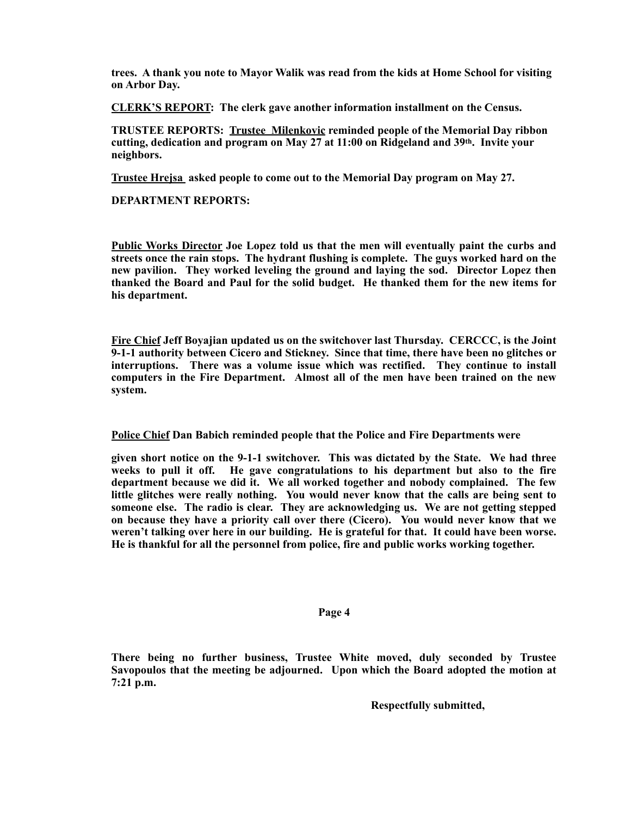**trees. A thank you note to Mayor Walik was read from the kids at Home School for visiting on Arbor Day.** 

**CLERK'S REPORT: The clerk gave another information installment on the Census.** 

**TRUSTEE REPORTS: Trustee Milenkovic reminded people of the Memorial Day ribbon cutting, dedication and program on May 27 at 11:00 on Ridgeland and 39th. Invite your neighbors.** 

**Trustee Hrejsa asked people to come out to the Memorial Day program on May 27.** 

**DEPARTMENT REPORTS:** 

**Public Works Director Joe Lopez told us that the men will eventually paint the curbs and streets once the rain stops. The hydrant flushing is complete. The guys worked hard on the new pavilion. They worked leveling the ground and laying the sod. Director Lopez then thanked the Board and Paul for the solid budget. He thanked them for the new items for his department.** 

**Fire Chief Jeff Boyajian updated us on the switchover last Thursday. CERCCC, is the Joint 9-1-1 authority between Cicero and Stickney. Since that time, there have been no glitches or interruptions. There was a volume issue which was rectified. They continue to install computers in the Fire Department. Almost all of the men have been trained on the new system.** 

**Police Chief Dan Babich reminded people that the Police and Fire Departments were** 

**given short notice on the 9-1-1 switchover. This was dictated by the State. We had three weeks to pull it off. He gave congratulations to his department but also to the fire department because we did it. We all worked together and nobody complained. The few little glitches were really nothing. You would never know that the calls are being sent to someone else. The radio is clear. They are acknowledging us. We are not getting stepped on because they have a priority call over there (Cicero). You would never know that we weren't talking over here in our building. He is grateful for that. It could have been worse. He is thankful for all the personnel from police, fire and public works working together.** 

## **Page 4**

**There being no further business, Trustee White moved, duly seconded by Trustee Savopoulos that the meeting be adjourned. Upon which the Board adopted the motion at 7:21 p.m.** 

 **Respectfully submitted,**